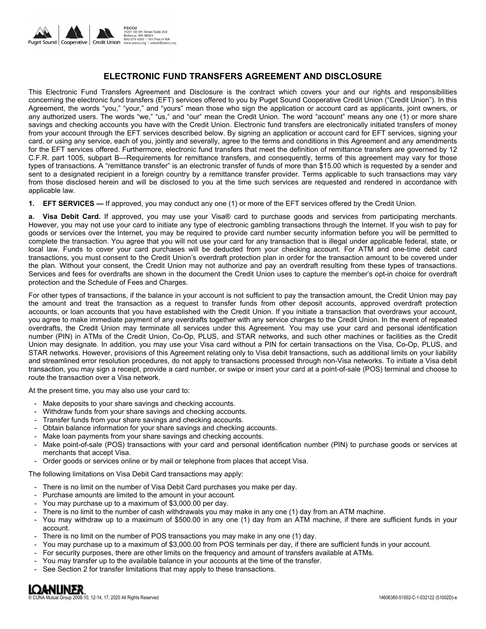

# **ELECTRONIC FUND TRANSFERS AGREEMENT AND DISCLOSURE**

This Electronic Fund Transfers Agreement and Disclosure is the contract which covers your and our rights and responsibilities concerning the electronic fund transfers (EFT) services offered to you by Puget Sound Cooperative Credit Union ("Credit Union"). In this Agreement, the words "you," "your," and "yours" mean those who sign the application or account card as applicants, joint owners, or any authorized users. The words "we," "us," and "our" mean the Credit Union. The word "account" means any one (1) or more share savings and checking accounts you have with the Credit Union. Electronic fund transfers are electronically initiated transfers of money from your account through the EFT services described below. By signing an application or account card for EFT services, signing your card, or using any service, each of you, jointly and severally, agree to the terms and conditions in this Agreement and any amendments for the EFT services offered. Furthermore, electronic fund transfers that meet the definition of remittance transfers are governed by 12 C.F.R. part 1005, subpart B—Requirements for remittance transfers, and consequently, terms of this agreement may vary for those types of transactions. A "remittance transfer" is an electronic transfer of funds of more than \$15.00 which is requested by a sender and sent to a designated recipient in a foreign country by a remittance transfer provider. Terms applicable to such transactions may vary from those disclosed herein and will be disclosed to you at the time such services are requested and rendered in accordance with applicable law.

**1. EFT SERVICES —** If approved, you may conduct any one (1) or more of the EFT services offered by the Credit Union.

**a. Visa Debit Card.** If approved, you may use your Visa® card to purchase goods and services from participating merchants. However, you may not use your card to initiate any type of electronic gambling transactions through the Internet. If you wish to pay for goods or services over the Internet, you may be required to provide card number security information before you will be permitted to complete the transaction. You agree that you will not use your card for any transaction that is illegal under applicable federal, state, or local law. Funds to cover your card purchases will be deducted from your checking account. For ATM and one-time debit card transactions, you must consent to the Credit Union's overdraft protection plan in order for the transaction amount to be covered under the plan. Without your consent, the Credit Union may not authorize and pay an overdraft resulting from these types of transactions. Services and fees for overdrafts are shown in the document the Credit Union uses to capture the member's opt-in choice for overdraft protection and the Schedule of Fees and Charges.

For other types of transactions, if the balance in your account is not sufficient to pay the transaction amount, the Credit Union may pay the amount and treat the transaction as a request to transfer funds from other deposit accounts, approved overdraft protection accounts, or loan accounts that you have established with the Credit Union. If you initiate a transaction that overdraws your account, you agree to make immediate payment of any overdrafts together with any service charges to the Credit Union. In the event of repeated overdrafts, the Credit Union may terminate all services under this Agreement. You may use your card and personal identification number (PIN) in ATMs of the Credit Union, Co-Op, PLUS, and STAR networks, and such other machines or facilities as the Credit Union may designate. In addition, you may use your Visa card without a PIN for certain transactions on the Visa, Co-Op, PLUS, and STAR networks. However, provisions of this Agreement relating only to Visa debit transactions, such as additional limits on your liability and streamlined error resolution procedures, do not apply to transactions processed through non-Visa networks. To initiate a Visa debit transaction, you may sign a receipt, provide a card number, or swipe or insert your card at a point-of-sale (POS) terminal and choose to route the transaction over a Visa network.

At the present time, you may also use your card to:

- Make deposits to your share savings and checking accounts.
- Withdraw funds from your share savings and checking accounts.
- Transfer funds from your share savings and checking accounts.
- Obtain balance information for your share savings and checking accounts.
- Make loan payments from your share savings and checking accounts.
- Make point-of-sale (POS) transactions with your card and personal identification number (PIN) to purchase goods or services at merchants that accept Visa.
- Order goods or services online or by mail or telephone from places that accept Visa.

The following limitations on Visa Debit Card transactions may apply:

- There is no limit on the number of Visa Debit Card purchases you make per day.
- Purchase amounts are limited to the amount in your account.
- You may purchase up to a maximum of \$3,000.00 per day.
- There is no limit to the number of cash withdrawals you may make in any one (1) day from an ATM machine.
- You may withdraw up to a maximum of \$500.00 in any one (1) day from an ATM machine, if there are sufficient funds in your account.
- There is no limit on the number of POS transactions you may make in any one (1) day.
- You may purchase up to a maximum of \$3,000.00 from POS terminals per day, if there are sufficient funds in your account.
- For security purposes, there are other limits on the frequency and amount of transfers available at ATMs.
- You may transfer up to the available balance in your accounts at the time of the transfer.
- See Section 2 for transfer limitations that may apply to these transactions.

**DANLINER** © CUNA Mutual Group 2008-10, 12-14, 17, 2020 All Rights Reserved 14606380-51002-C-1-032122 (51002D)-e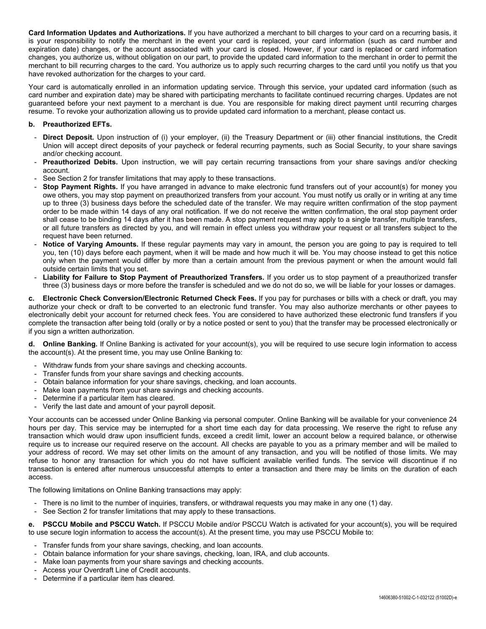**Card Information Updates and Authorizations.** If you have authorized a merchant to bill charges to your card on a recurring basis, it is your responsibility to notify the merchant in the event your card is replaced, your card information (such as card number and expiration date) changes, or the account associated with your card is closed. However, if your card is replaced or card information changes, you authorize us, without obligation on our part, to provide the updated card information to the merchant in order to permit the merchant to bill recurring charges to the card. You authorize us to apply such recurring charges to the card until you notify us that you have revoked authorization for the charges to your card.

Your card is automatically enrolled in an information updating service. Through this service, your updated card information (such as card number and expiration date) may be shared with participating merchants to facilitate continued recurring charges. Updates are not guaranteed before your next payment to a merchant is due. You are responsible for making direct payment until recurring charges resume. To revoke your authorization allowing us to provide updated card information to a merchant, please contact us.

### **b. Preauthorized EFTs.**

- Direct Deposit. Upon instruction of (i) your employer, (ii) the Treasury Department or (iii) other financial institutions, the Credit Union will accept direct deposits of your paycheck or federal recurring payments, such as Social Security, to your share savings and/or checking account.
- Preauthorized Debits. Upon instruction, we will pay certain recurring transactions from your share savings and/or checking account.
- See Section 2 for transfer limitations that may apply to these transactions.
- **Stop Payment Rights.** If you have arranged in advance to make electronic fund transfers out of your account(s) for money you owe others, you may stop payment on preauthorized transfers from your account. You must notify us orally or in writing at any time up to three (3) business days before the scheduled date of the transfer. We may require written confirmation of the stop payment order to be made within 14 days of any oral notification. If we do not receive the written confirmation, the oral stop payment order shall cease to be binding 14 days after it has been made. A stop payment request may apply to a single transfer, multiple transfers, or all future transfers as directed by you, and will remain in effect unless you withdraw your request or all transfers subject to the request have been returned.
- Notice of Varying Amounts. If these regular payments may vary in amount, the person you are going to pay is required to tell you, ten (10) days before each payment, when it will be made and how much it will be. You may choose instead to get this notice only when the payment would differ by more than a certain amount from the previous payment or when the amount would fall outside certain limits that you set.
- Liability for Failure to Stop Payment of Preauthorized Transfers. If you order us to stop payment of a preauthorized transfer three (3) business days or more before the transfer is scheduled and we do not do so, we will be liable for your losses or damages.

**c. Electronic Check Conversion/Electronic Returned Check Fees.** If you pay for purchases or bills with a check or draft, you may authorize your check or draft to be converted to an electronic fund transfer. You may also authorize merchants or other payees to electronically debit your account for returned check fees. You are considered to have authorized these electronic fund transfers if you complete the transaction after being told (orally or by a notice posted or sent to you) that the transfer may be processed electronically or if you sign a written authorization.

**d. Online Banking.** If Online Banking is activated for your account(s), you will be required to use secure login information to access the account(s). At the present time, you may use Online Banking to:

- Withdraw funds from your share savings and checking accounts.
- Transfer funds from your share savings and checking accounts.
- Obtain balance information for your share savings, checking, and loan accounts.
- Make loan payments from your share savings and checking accounts.
- Determine if a particular item has cleared.
- Verify the last date and amount of your payroll deposit.

Your accounts can be accessed under Online Banking via personal computer. Online Banking will be available for your convenience 24 hours per day. This service may be interrupted for a short time each day for data processing. We reserve the right to refuse any transaction which would draw upon insufficient funds, exceed a credit limit, lower an account below a required balance, or otherwise require us to increase our required reserve on the account. All checks are payable to you as a primary member and will be mailed to your address of record. We may set other limits on the amount of any transaction, and you will be notified of those limits. We may refuse to honor any transaction for which you do not have sufficient available verified funds. The service will discontinue if no transaction is entered after numerous unsuccessful attempts to enter a transaction and there may be limits on the duration of each access.

The following limitations on Online Banking transactions may apply:

- There is no limit to the number of inquiries, transfers, or withdrawal requests you may make in any one (1) day.
- See Section 2 for transfer limitations that may apply to these transactions.

**e. PSCCU Mobile and PSCCU Watch.** If PSCCU Mobile and/or PSCCU Watch is activated for your account(s), you will be required to use secure login information to access the account(s). At the present time, you may use PSCCU Mobile to:

- Transfer funds from your share savings, checking, and loan accounts.
- Obtain balance information for your share savings, checking, loan, IRA, and club accounts.
- Make loan payments from your share savings and checking accounts.
- Access your Overdraft Line of Credit accounts.
- Determine if a particular item has cleared.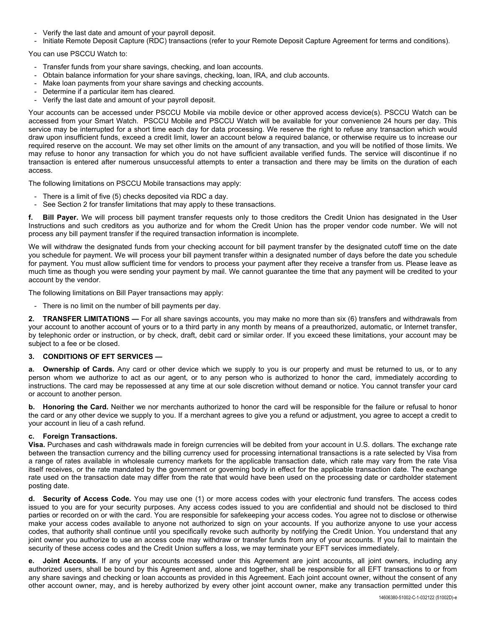- Verify the last date and amount of your payroll deposit.
- Initiate Remote Deposit Capture (RDC) transactions (refer to your Remote Deposit Capture Agreement for terms and conditions).

You can use PSCCU Watch to:

- Transfer funds from your share savings, checking, and loan accounts.
- Obtain balance information for your share savings, checking, loan, IRA, and club accounts.
- Make loan payments from your share savings and checking accounts.
- Determine if a particular item has cleared.
- Verify the last date and amount of your payroll deposit.

Your accounts can be accessed under PSCCU Mobile via mobile device or other approved access device(s). PSCCU Watch can be accessed from your Smart Watch. PSCCU Mobile and PSCCU Watch will be available for your convenience 24 hours per day. This service may be interrupted for a short time each day for data processing. We reserve the right to refuse any transaction which would draw upon insufficient funds, exceed a credit limit, lower an account below a required balance, or otherwise require us to increase our required reserve on the account. We may set other limits on the amount of any transaction, and you will be notified of those limits. We may refuse to honor any transaction for which you do not have sufficient available verified funds. The service will discontinue if no transaction is entered after numerous unsuccessful attempts to enter a transaction and there may be limits on the duration of each access.

The following limitations on PSCCU Mobile transactions may apply:

- There is a limit of five (5) checks deposited via RDC a day.
- See Section 2 for transfer limitations that may apply to these transactions.

**Bill Payer.** We will process bill payment transfer requests only to those creditors the Credit Union has designated in the User Instructions and such creditors as you authorize and for whom the Credit Union has the proper vendor code number. We will not process any bill payment transfer if the required transaction information is incomplete.

We will withdraw the designated funds from your checking account for bill payment transfer by the designated cutoff time on the date you schedule for payment. We will process your bill payment transfer within a designated number of days before the date you schedule for payment. You must allow sufficient time for vendors to process your payment after they receive a transfer from us. Please leave as much time as though you were sending your payment by mail. We cannot guarantee the time that any payment will be credited to your account by the vendor.

The following limitations on Bill Payer transactions may apply:

- There is no limit on the number of bill payments per day.

**2. TRANSFER LIMITATIONS —** For all share savings accounts, you may make no more than six (6) transfers and withdrawals from your account to another account of yours or to a third party in any month by means of a preauthorized, automatic, or Internet transfer, by telephonic order or instruction, or by check, draft, debit card or similar order. If you exceed these limitations, your account may be subject to a fee or be closed.

#### **3. CONDITIONS OF EFT SERVICES —**

**a. Ownership of Cards.** Any card or other device which we supply to you is our property and must be returned to us, or to any person whom we authorize to act as our agent, or to any person who is authorized to honor the card, immediately according to instructions. The card may be repossessed at any time at our sole discretion without demand or notice. You cannot transfer your card or account to another person.

**b. Honoring the Card.** Neither we nor merchants authorized to honor the card will be responsible for the failure or refusal to honor the card or any other device we supply to you. If a merchant agrees to give you a refund or adjustment, you agree to accept a credit to your account in lieu of a cash refund.

#### **c. Foreign Transactions.**

**Visa.** Purchases and cash withdrawals made in foreign currencies will be debited from your account in U.S. dollars. The exchange rate between the transaction currency and the billing currency used for processing international transactions is a rate selected by Visa from a range of rates available in wholesale currency markets for the applicable transaction date, which rate may vary from the rate Visa itself receives, or the rate mandated by the government or governing body in effect for the applicable transaction date. The exchange rate used on the transaction date may differ from the rate that would have been used on the processing date or cardholder statement posting date.

**d. Security of Access Code.** You may use one (1) or more access codes with your electronic fund transfers. The access codes issued to you are for your security purposes. Any access codes issued to you are confidential and should not be disclosed to third parties or recorded on or with the card. You are responsible for safekeeping your access codes. You agree not to disclose or otherwise make your access codes available to anyone not authorized to sign on your accounts. If you authorize anyone to use your access codes, that authority shall continue until you specifically revoke such authority by notifying the Credit Union. You understand that any joint owner you authorize to use an access code may withdraw or transfer funds from any of your accounts. If you fail to maintain the security of these access codes and the Credit Union suffers a loss, we may terminate your EFT services immediately.

**Joint Accounts.** If any of your accounts accessed under this Agreement are joint accounts, all joint owners, including any authorized users, shall be bound by this Agreement and, alone and together, shall be responsible for all EFT transactions to or from any share savings and checking or loan accounts as provided in this Agreement. Each joint account owner, without the consent of any other account owner, may, and is hereby authorized by every other joint account owner, make any transaction permitted under this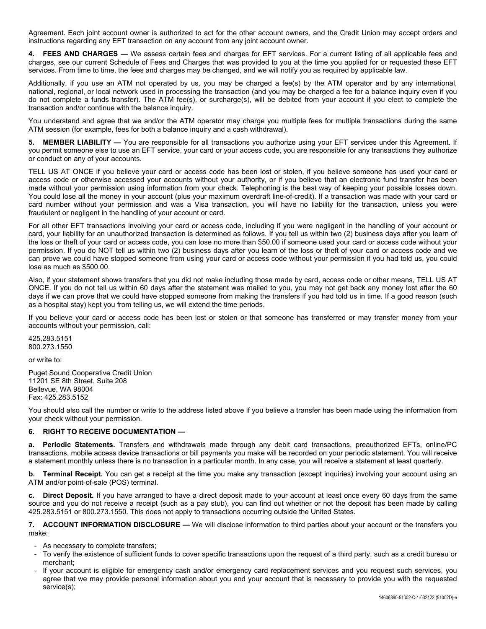Agreement. Each joint account owner is authorized to act for the other account owners, and the Credit Union may accept orders and instructions regarding any EFT transaction on any account from any joint account owner.

**4. FEES AND CHARGES —** We assess certain fees and charges for EFT services. For a current listing of all applicable fees and charges, see our current Schedule of Fees and Charges that was provided to you at the time you applied for or requested these EFT services. From time to time, the fees and charges may be changed, and we will notify you as required by applicable law.

Additionally, if you use an ATM not operated by us, you may be charged a fee(s) by the ATM operator and by any international, national, regional, or local network used in processing the transaction (and you may be charged a fee for a balance inquiry even if you do not complete a funds transfer). The ATM fee(s), or surcharge(s), will be debited from your account if you elect to complete the transaction and/or continue with the balance inquiry.

You understand and agree that we and/or the ATM operator may charge you multiple fees for multiple transactions during the same ATM session (for example, fees for both a balance inquiry and a cash withdrawal).

**MEMBER LIABILITY** — You are responsible for all transactions you authorize using your EFT services under this Agreement. If you permit someone else to use an EFT service, your card or your access code, you are responsible for any transactions they authorize or conduct on any of your accounts.

TELL US AT ONCE if you believe your card or access code has been lost or stolen, if you believe someone has used your card or access code or otherwise accessed your accounts without your authority, or if you believe that an electronic fund transfer has been made without your permission using information from your check. Telephoning is the best way of keeping your possible losses down. You could lose all the money in your account (plus your maximum overdraft line-of-credit). If a transaction was made with your card or card number without your permission and was a Visa transaction, you will have no liability for the transaction, unless you were fraudulent or negligent in the handling of your account or card.

For all other EFT transactions involving your card or access code, including if you were negligent in the handling of your account or card, your liability for an unauthorized transaction is determined as follows. If you tell us within two (2) business days after you learn of the loss or theft of your card or access code, you can lose no more than \$50.00 if someone used your card or access code without your permission. If you do NOT tell us within two (2) business days after you learn of the loss or theft of your card or access code and we can prove we could have stopped someone from using your card or access code without your permission if you had told us, you could lose as much as \$500.00.

Also, if your statement shows transfers that you did not make including those made by card, access code or other means, TELL US AT ONCE. If you do not tell us within 60 days after the statement was mailed to you, you may not get back any money lost after the 60 days if we can prove that we could have stopped someone from making the transfers if you had told us in time. If a good reason (such as a hospital stay) kept you from telling us, we will extend the time periods.

If you believe your card or access code has been lost or stolen or that someone has transferred or may transfer money from your accounts without your permission, call:

425.283.5151 800.273.1550

or write to:

Puget Sound Cooperative Credit Union 11201 SE 8th Street, Suite 208 Bellevue, WA 98004 Fax: 425.283.5152

You should also call the number or write to the address listed above if you believe a transfer has been made using the information from your check without your permission.

## **6. RIGHT TO RECEIVE DOCUMENTATION —**

**a. Periodic Statements.** Transfers and withdrawals made through any debit card transactions, preauthorized EFTs, online/PC transactions, mobile access device transactions or bill payments you make will be recorded on your periodic statement. You will receive a statement monthly unless there is no transaction in a particular month. In any case, you will receive a statement at least quarterly.

**b. Terminal Receipt.** You can get a receipt at the time you make any transaction (except inquiries) involving your account using an ATM and/or point-of-sale (POS) terminal.

**c. Direct Deposit.** If you have arranged to have a direct deposit made to your account at least once every 60 days from the same source and you do not receive a receipt (such as a pay stub), you can find out whether or not the deposit has been made by calling 425.283.5151 or 800.273.1550. This does not apply to transactions occurring outside the United States.

**7. ACCOUNT INFORMATION DISCLOSURE —** We will disclose information to third parties about your account or the transfers you make:

- As necessary to complete transfers;
- To verify the existence of sufficient funds to cover specific transactions upon the request of a third party, such as a credit bureau or merchant;
- If your account is eligible for emergency cash and/or emergency card replacement services and you request such services, you agree that we may provide personal information about you and your account that is necessary to provide you with the requested service(s);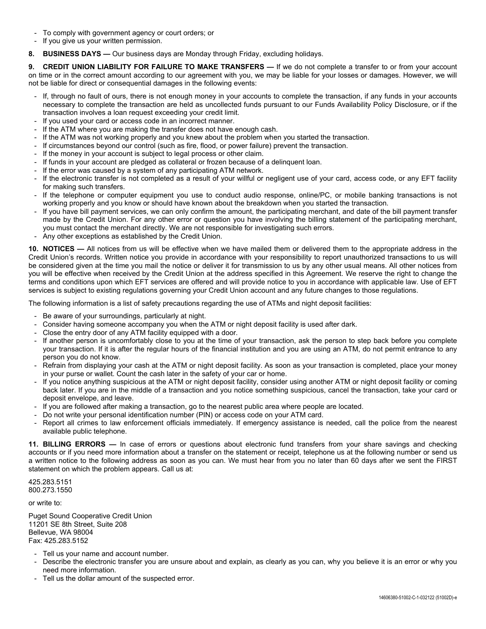- To comply with government agency or court orders; or
- If you give us your written permission.
- **8. BUSINESS DAYS —** Our business days are Monday through Friday, excluding holidays.

**9. CREDIT UNION LIABILITY FOR FAILURE TO MAKE TRANSFERS —** If we do not complete a transfer to or from your account on time or in the correct amount according to our agreement with you, we may be liable for your losses or damages. However, we will not be liable for direct or consequential damages in the following events:

- If, through no fault of ours, there is not enough money in your accounts to complete the transaction, if any funds in your accounts necessary to complete the transaction are held as uncollected funds pursuant to our Funds Availability Policy Disclosure, or if the transaction involves a loan request exceeding your credit limit.
- If you used your card or access code in an incorrect manner.
- If the ATM where you are making the transfer does not have enough cash.
- If the ATM was not working properly and you knew about the problem when you started the transaction.
- If circumstances beyond our control (such as fire, flood, or power failure) prevent the transaction.
- If the money in your account is subject to legal process or other claim.
- If funds in your account are pledged as collateral or frozen because of a delinquent loan.
- If the error was caused by a system of any participating ATM network.
- If the electronic transfer is not completed as a result of your willful or negligent use of your card, access code, or any EFT facility for making such transfers.
- If the telephone or computer equipment you use to conduct audio response, online/PC, or mobile banking transactions is not working properly and you know or should have known about the breakdown when you started the transaction.
- If you have bill payment services, we can only confirm the amount, the participating merchant, and date of the bill payment transfer made by the Credit Union. For any other error or question you have involving the billing statement of the participating merchant, you must contact the merchant directly. We are not responsible for investigating such errors.
- Any other exceptions as established by the Credit Union.

**10. NOTICES —** All notices from us will be effective when we have mailed them or delivered them to the appropriate address in the Credit Union's records. Written notice you provide in accordance with your responsibility to report unauthorized transactions to us will be considered given at the time you mail the notice or deliver it for transmission to us by any other usual means. All other notices from you will be effective when received by the Credit Union at the address specified in this Agreement. We reserve the right to change the terms and conditions upon which EFT services are offered and will provide notice to you in accordance with applicable law. Use of EFT services is subject to existing regulations governing your Credit Union account and any future changes to those regulations.

The following information is a list of safety precautions regarding the use of ATMs and night deposit facilities:

- Be aware of your surroundings, particularly at night.
- Consider having someone accompany you when the ATM or night deposit facility is used after dark.
- Close the entry door of any ATM facility equipped with a door.
- If another person is uncomfortably close to you at the time of your transaction, ask the person to step back before you complete your transaction. If it is after the regular hours of the financial institution and you are using an ATM, do not permit entrance to any person you do not know.
- Refrain from displaying your cash at the ATM or night deposit facility. As soon as your transaction is completed, place your money in your purse or wallet. Count the cash later in the safety of your car or home.
- If you notice anything suspicious at the ATM or night deposit facility, consider using another ATM or night deposit facility or coming back later. If you are in the middle of a transaction and you notice something suspicious, cancel the transaction, take your card or deposit envelope, and leave.
- If you are followed after making a transaction, go to the nearest public area where people are located.
- Do not write your personal identification number (PIN) or access code on your ATM card.
- Report all crimes to law enforcement officials immediately. If emergency assistance is needed, call the police from the nearest available public telephone.

**11. BILLING ERRORS —** In case of errors or questions about electronic fund transfers from your share savings and checking accounts or if you need more information about a transfer on the statement or receipt, telephone us at the following number or send us a written notice to the following address as soon as you can. We must hear from you no later than 60 days after we sent the FIRST statement on which the problem appears. Call us at:

425.283.5151 800.273.1550

or write to:

Puget Sound Cooperative Credit Union 11201 SE 8th Street, Suite 208 Bellevue, WA 98004 Fax: 425.283.5152

- Tell us your name and account number.
- Describe the electronic transfer you are unsure about and explain, as clearly as you can, why you believe it is an error or why you need more information.
- Tell us the dollar amount of the suspected error.